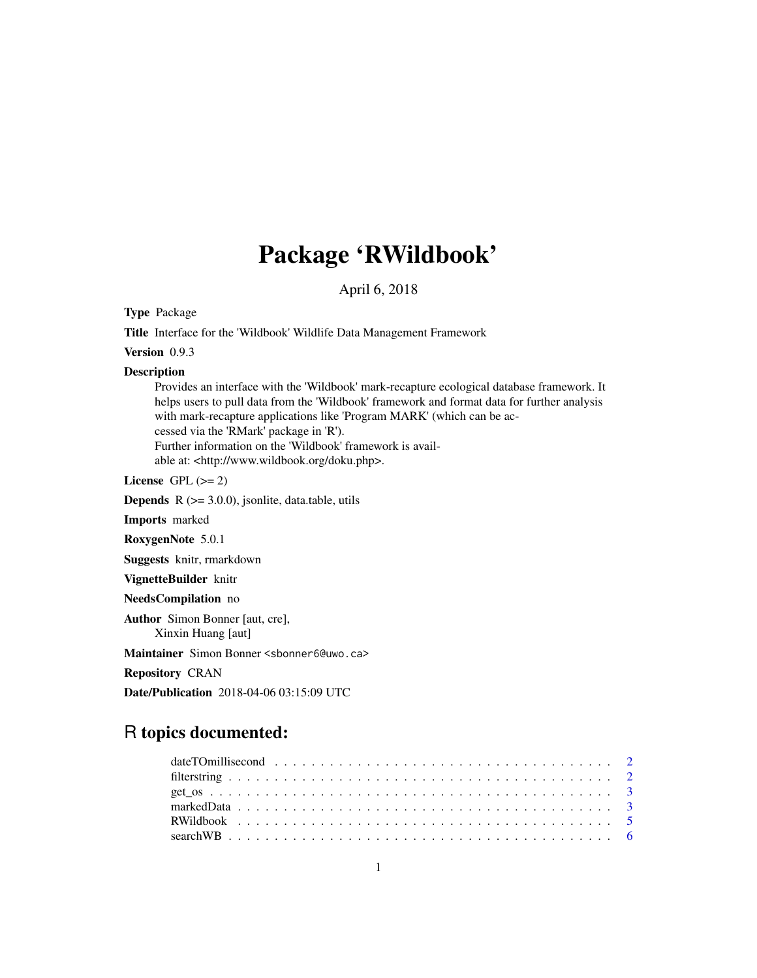# Package 'RWildbook'

April 6, 2018

Type Package

Title Interface for the 'Wildbook' Wildlife Data Management Framework

Version 0.9.3

#### Description

Provides an interface with the 'Wildbook' mark-recapture ecological database framework. It helps users to pull data from the 'Wildbook' framework and format data for further analysis with mark-recapture applications like 'Program MARK' (which can be accessed via the 'RMark' package in 'R'). Further information on the 'Wildbook' framework is available at: <http://www.wildbook.org/doku.php>.

License GPL  $(>= 2)$ 

**Depends**  $R$  ( $>= 3.0.0$ ), jsonlite, data.table, utils

Imports marked

RoxygenNote 5.0.1

Suggests knitr, rmarkdown

VignetteBuilder knitr

NeedsCompilation no

Author Simon Bonner [aut, cre], Xinxin Huang [aut]

Maintainer Simon Bonner <sbonner6@uwo.ca>

Repository CRAN

Date/Publication 2018-04-06 03:15:09 UTC

# R topics documented:

| date TO millisecond $\ldots \ldots \ldots \ldots \ldots \ldots \ldots \ldots \ldots \ldots \ldots \ldots$ |  |
|-----------------------------------------------------------------------------------------------------------|--|
|                                                                                                           |  |
|                                                                                                           |  |
|                                                                                                           |  |
|                                                                                                           |  |
|                                                                                                           |  |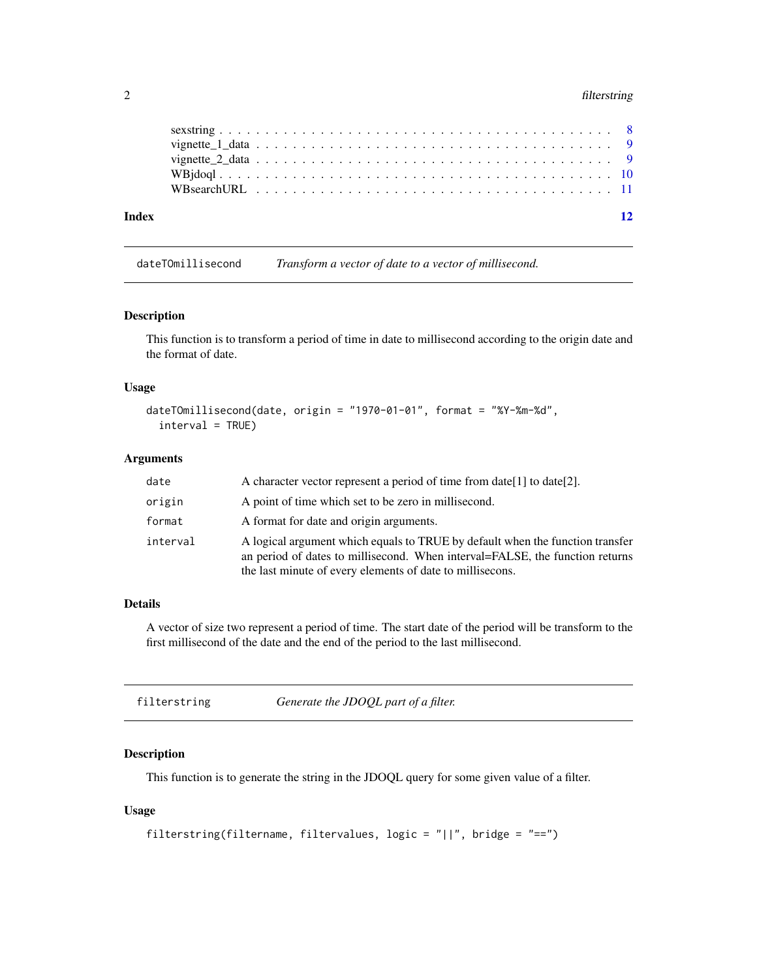# <span id="page-1-0"></span>2 filterstring

| Index |  |  |  |  |  |  |  |  |  |  |  |  |  |  |  |  |  |  |  | 12 |
|-------|--|--|--|--|--|--|--|--|--|--|--|--|--|--|--|--|--|--|--|----|
|       |  |  |  |  |  |  |  |  |  |  |  |  |  |  |  |  |  |  |  |    |
|       |  |  |  |  |  |  |  |  |  |  |  |  |  |  |  |  |  |  |  |    |
|       |  |  |  |  |  |  |  |  |  |  |  |  |  |  |  |  |  |  |  |    |
|       |  |  |  |  |  |  |  |  |  |  |  |  |  |  |  |  |  |  |  |    |
|       |  |  |  |  |  |  |  |  |  |  |  |  |  |  |  |  |  |  |  |    |

dateTOmillisecond *Transform a vector of date to a vector of millisecond.*

#### Description

This function is to transform a period of time in date to millisecond according to the origin date and the format of date.

# Usage

```
dateTOmillisecond(date, origin = "1970-01-01", format = "%Y-%m-%d",
  interval = TRUE)
```
# Arguments

| date     | A character vector represent a period of time from date [1] to date [2].                                                                                                                                                   |
|----------|----------------------------------------------------------------------------------------------------------------------------------------------------------------------------------------------------------------------------|
| origin   | A point of time which set to be zero in millisecond.                                                                                                                                                                       |
| format   | A format for date and origin arguments.                                                                                                                                                                                    |
| interval | A logical argument which equals to TRUE by default when the function transfer<br>an period of dates to millisecond. When interval=FALSE, the function returns<br>the last minute of every elements of date to millisecons. |

# Details

A vector of size two represent a period of time. The start date of the period will be transform to the first millisecond of the date and the end of the period to the last millisecond.

| Generate the JDOQL part of a filter.<br>filterstring |  |
|------------------------------------------------------|--|
|------------------------------------------------------|--|

# Description

This function is to generate the string in the JDOQL query for some given value of a filter.

# Usage

```
filterstring(filtername, filtervalues, logic = "||", bridge = "==")
```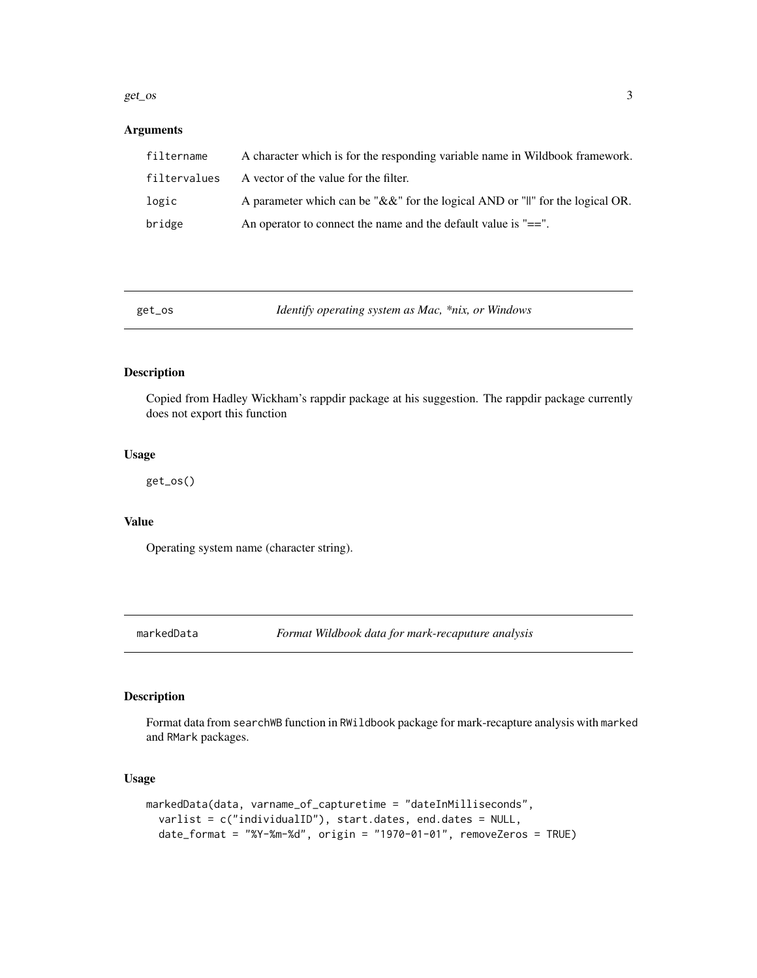#### <span id="page-2-0"></span> $get\_os$  3

# Arguments

| filtername   | A character which is for the responding variable name in Wildbook framework.        |
|--------------|-------------------------------------------------------------------------------------|
| filtervalues | A vector of the value for the filter.                                               |
| logic        | A parameter which can be " $&&\&$ " for the logical AND or "  " for the logical OR. |
| bridge       | An operator to connect the name and the default value is $"=="$ .                   |

# Description

Copied from Hadley Wickham's rappdir package at his suggestion. The rappdir package currently does not export this function

# Usage

get\_os()

# Value

Operating system name (character string).

markedData *Format Wildbook data for mark-recaputure analysis*

# Description

Format data from searchWB function in RWildbook package for mark-recapture analysis with marked and RMark packages.

#### Usage

```
markedData(data, varname_of_capturetime = "dateInMilliseconds",
 varlist = c("individualID"), start.dates, end.dates = NULL,
  date_format = "%Y-%m-%d", origin = "1970-01-01", removeZeros = TRUE)
```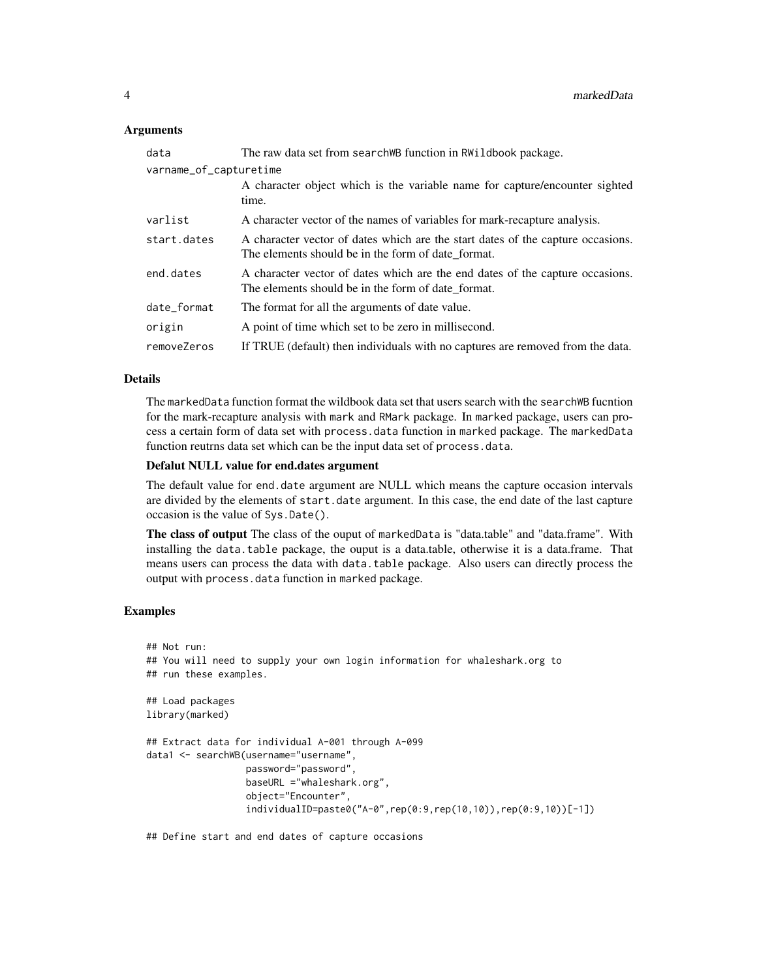#### **Arguments**

| data                   | The raw data set from search WB function in RWildbook package.                                                                        |  |  |  |  |  |
|------------------------|---------------------------------------------------------------------------------------------------------------------------------------|--|--|--|--|--|
| varname_of_capturetime |                                                                                                                                       |  |  |  |  |  |
|                        | A character object which is the variable name for capture/encounter sighted<br>time.                                                  |  |  |  |  |  |
| varlist                | A character vector of the names of variables for mark-recapture analysis.                                                             |  |  |  |  |  |
| start.dates            | A character vector of dates which are the start dates of the capture occasions.<br>The elements should be in the form of date_format. |  |  |  |  |  |
| end.dates              | A character vector of dates which are the end dates of the capture occasions.<br>The elements should be in the form of date format.   |  |  |  |  |  |
| date_format            | The format for all the arguments of date value.                                                                                       |  |  |  |  |  |
| origin                 | A point of time which set to be zero in millisecond.                                                                                  |  |  |  |  |  |
| removeZeros            | If TRUE (default) then individuals with no captures are removed from the data.                                                        |  |  |  |  |  |

#### Details

The markedData function format the wildbook data set that users search with the searchWB fucntion for the mark-recapture analysis with mark and RMark package. In marked package, users can process a certain form of data set with process.data function in marked package. The markedData function reutrns data set which can be the input data set of process.data.

### Defalut NULL value for end.dates argument

The default value for end.date argument are NULL which means the capture occasion intervals are divided by the elements of start.date argument. In this case, the end date of the last capture occasion is the value of Sys.Date().

The class of output The class of the ouput of markedData is "data.table" and "data.frame". With installing the data.table package, the ouput is a data.table, otherwise it is a data.frame. That means users can process the data with data.table package. Also users can directly process the output with process.data function in marked package.

# Examples

```
## Not run:
## You will need to supply your own login information for whaleshark.org to
## run these examples.
## Load packages
library(marked)
## Extract data for individual A-001 through A-099
data1 <- searchWB(username="username",
                 password="password",
                  baseURL ="whaleshark.org",
                  object="Encounter",
                  individualID=paste0("A-0",rep(0:9,rep(10,10)),rep(0:9,10))[-1])
```
## Define start and end dates of capture occasions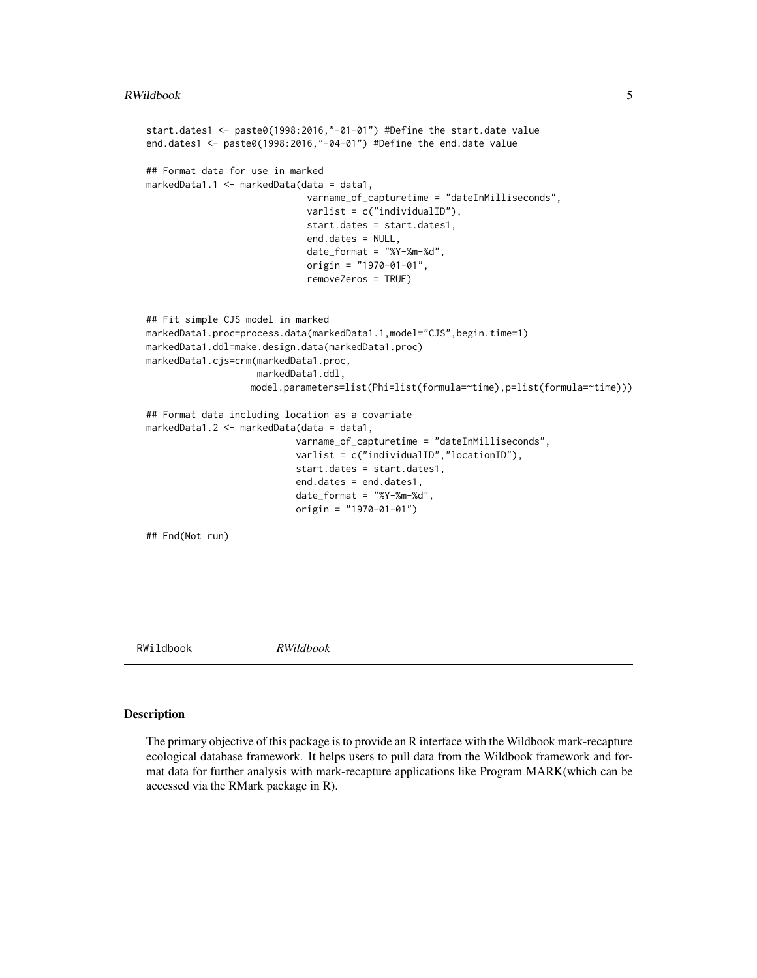```
start.dates1 <- paste0(1998:2016,"-01-01") #Define the start.date value
end.dates1 <- paste0(1998:2016,"-04-01") #Define the end.date value
## Format data for use in marked
markedData1.1 <- markedData(data = data1,
                             varname_of_capturetime = "dateInMilliseconds",
                             varlist = c("individualID"),
                             start.dates = start.dates1,
                             end.dates = NULL,
                             date_format = "%Y-%m-%d",
                             origin = "1970-01-01",
                             removeZeros = TRUE)
## Fit simple CJS model in marked
markedData1.proc=process.data(markedData1.1,model="CJS",begin.time=1)
markedData1.ddl=make.design.data(markedData1.proc)
markedData1.cjs=crm(markedData1.proc,
                    markedData1.ddl,
                   model.parameters=list(Phi=list(formula=~time),p=list(formula=~time)))
## Format data including location as a covariate
markedData1.2 <- markedData(data = data1,
                           varname_of_capturetime = "dateInMilliseconds",
                           varlist = c("individualID","locationID"),
                           start.dates = start.dates1,
                           end.dates = end.dates1,
                           date_format = "%Y-%m-%d",
                           origin = "1970-01-01")
## End(Not run)
```
RWildbook *RWildbook*

#### Description

The primary objective of this package is to provide an R interface with the Wildbook mark-recapture ecological database framework. It helps users to pull data from the Wildbook framework and format data for further analysis with mark-recapture applications like Program MARK(which can be accessed via the RMark package in R).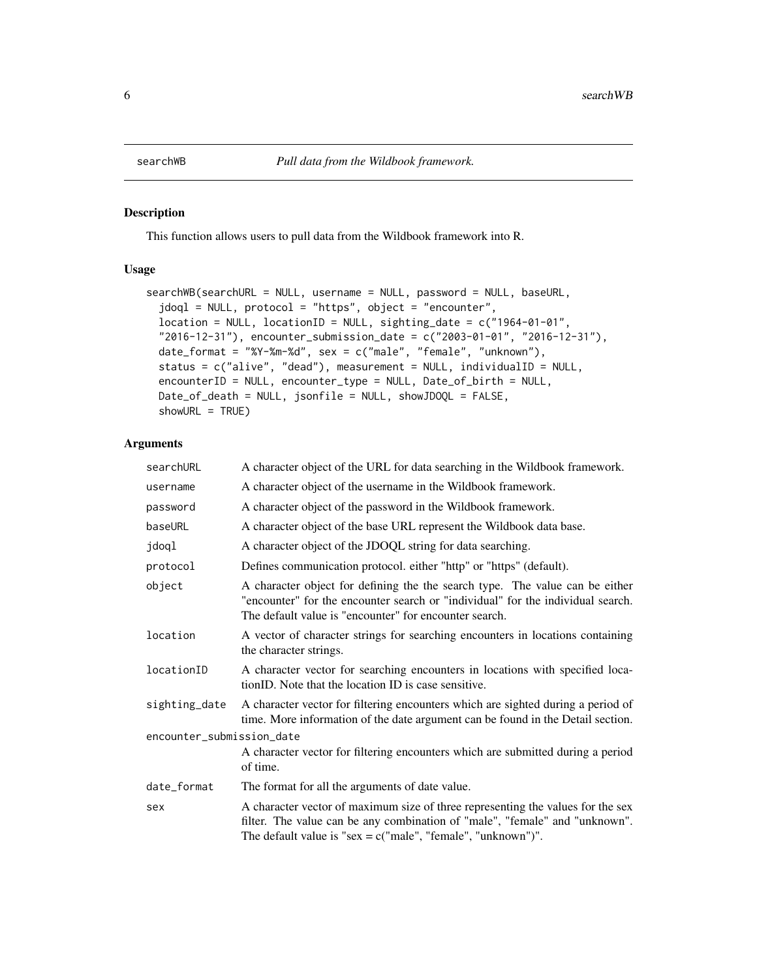<span id="page-5-0"></span>

### Description

This function allows users to pull data from the Wildbook framework into R.

### Usage

```
searchWB(searchURL = NULL, username = NULL, password = NULL, baseURL,
  jdoql = NULL, protocol = "https", object = "encounter",
 location = NULL, locationID = NULL, significant = 2 and 1964-01-01",
  "2016-12-31"), encounter_submission_date = c("2003-01-01", "2016-12-31"),
 date_format = "%Y-%m-%d", sex = c("male", "female", "unknown"),
  status = c("alive", "dead"), measurement = NULL, individualID = NULL,
 encounterID = NULL, encounter_type = NULL, Date_of_birth = NULL,
 Date_of_death = NULL, jsonfile = NULL, showJDOQL = FALSE,
  showURL = TRUE)
```
#### Arguments

| searchURL                 | A character object of the URL for data searching in the Wildbook framework.                                                                                                                                                       |
|---------------------------|-----------------------------------------------------------------------------------------------------------------------------------------------------------------------------------------------------------------------------------|
| username                  | A character object of the username in the Wildbook framework.                                                                                                                                                                     |
| password                  | A character object of the password in the Wildbook framework.                                                                                                                                                                     |
| baseURL                   | A character object of the base URL represent the Wildbook data base.                                                                                                                                                              |
| jdoql                     | A character object of the JDOQL string for data searching.                                                                                                                                                                        |
| protocol                  | Defines communication protocol. either "http" or "https" (default).                                                                                                                                                               |
| object                    | A character object for defining the the search type. The value can be either<br>"encounter" for the encounter search or "individual" for the individual search.<br>The default value is "encounter" for encounter search.         |
| location                  | A vector of character strings for searching encounters in locations containing<br>the character strings.                                                                                                                          |
| locationID                | A character vector for searching encounters in locations with specified loca-<br>tionID. Note that the location ID is case sensitive.                                                                                             |
| sighting_date             | A character vector for filtering encounters which are sighted during a period of<br>time. More information of the date argument can be found in the Detail section.                                                               |
| encounter_submission_date |                                                                                                                                                                                                                                   |
|                           | A character vector for filtering encounters which are submitted during a period<br>of time.                                                                                                                                       |
| date_format               | The format for all the arguments of date value.                                                                                                                                                                                   |
| sex                       | A character vector of maximum size of three representing the values for the sex<br>filter. The value can be any combination of "male", "female" and "unknown".<br>The default value is "sex = $c("male", "female", "unknown")$ ". |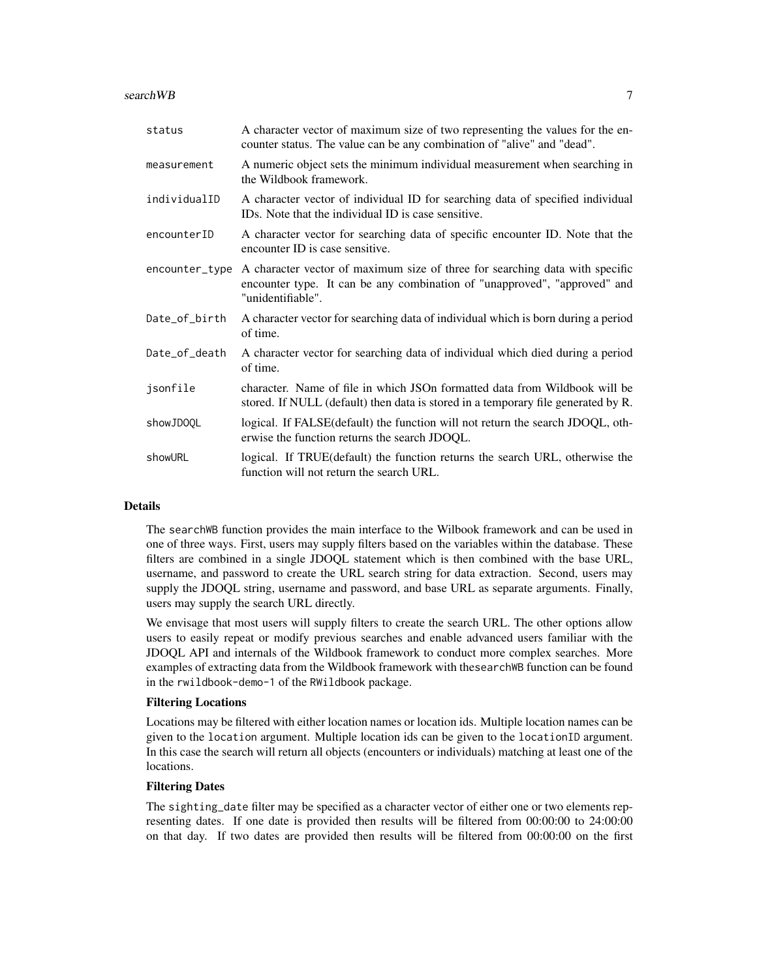search WB 7 and 2008 and 2008 and 2008 and 2008 and 2008 and 2008 and 2008 and 2008 and 2008 and 2008 and 2008

| status         | A character vector of maximum size of two representing the values for the en-<br>counter status. The value can be any combination of "alive" and "dead".                       |
|----------------|--------------------------------------------------------------------------------------------------------------------------------------------------------------------------------|
| measurement    | A numeric object sets the minimum individual measurement when searching in<br>the Wildbook framework.                                                                          |
| individualID   | A character vector of individual ID for searching data of specified individual<br>ID <sub>s</sub> . Note that the individual ID is case sensitive.                             |
| encounterID    | A character vector for searching data of specific encounter ID. Note that the<br>encounter ID is case sensitive.                                                               |
| encounter_type | A character vector of maximum size of three for searching data with specific<br>encounter type. It can be any combination of "unapproved", "approved" and<br>"unidentifiable". |
| Date_of_birth  | A character vector for searching data of individual which is born during a period<br>of time.                                                                                  |
| Date_of_death  | A character vector for searching data of individual which died during a period<br>of time.                                                                                     |
| jsonfile       | character. Name of file in which JSOn formatted data from Wildbook will be<br>stored. If NULL (default) then data is stored in a temporary file generated by R.                |
| showJD0QL      | logical. If FALSE(default) the function will not return the search JDOQL, oth-<br>erwise the function returns the search JDOQL.                                                |
| showURL        | logical. If TRUE (default) the function returns the search URL, otherwise the<br>function will not return the search URL.                                                      |

### Details

The searchWB function provides the main interface to the Wilbook framework and can be used in one of three ways. First, users may supply filters based on the variables within the database. These filters are combined in a single JDOQL statement which is then combined with the base URL, username, and password to create the URL search string for data extraction. Second, users may supply the JDOQL string, username and password, and base URL as separate arguments. Finally, users may supply the search URL directly.

We envisage that most users will supply filters to create the search URL. The other options allow users to easily repeat or modify previous searches and enable advanced users familiar with the JDOQL API and internals of the Wildbook framework to conduct more complex searches. More examples of extracting data from the Wildbook framework with thesearchWB function can be found in the rwildbook-demo-1 of the RWildbook package.

#### Filtering Locations

Locations may be filtered with either location names or location ids. Multiple location names can be given to the location argument. Multiple location ids can be given to the locationID argument. In this case the search will return all objects (encounters or individuals) matching at least one of the locations.

# Filtering Dates

The sighting\_date filter may be specified as a character vector of either one or two elements representing dates. If one date is provided then results will be filtered from 00:00:00 to 24:00:00 on that day. If two dates are provided then results will be filtered from 00:00:00 on the first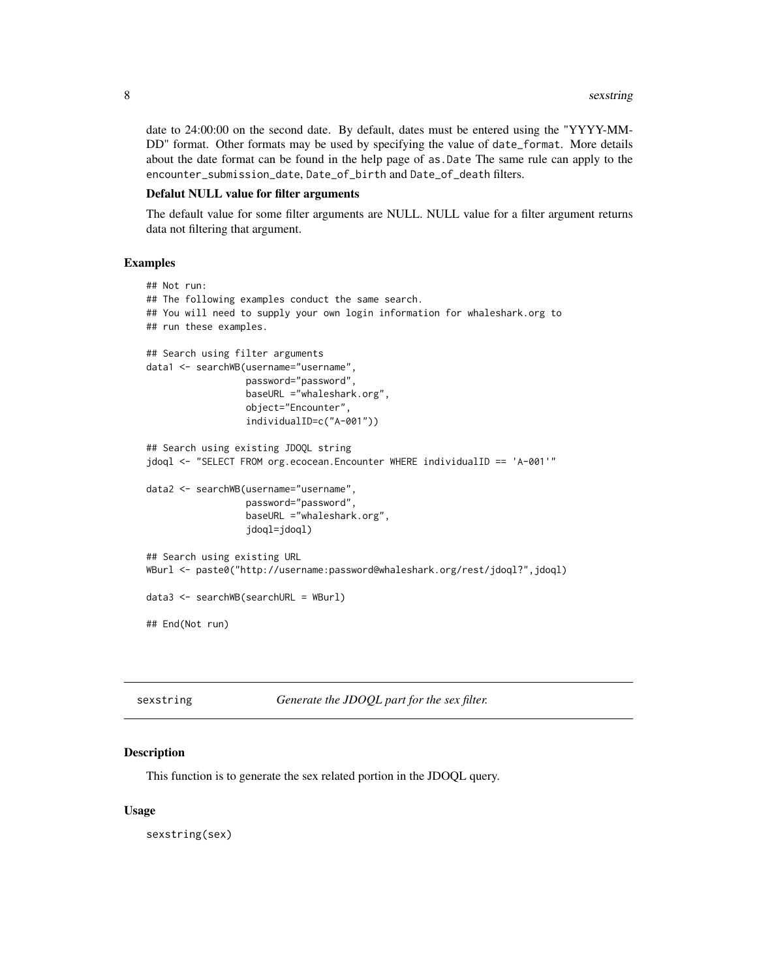<span id="page-7-0"></span>date to 24:00:00 on the second date. By default, dates must be entered using the "YYYY-MM-DD" format. Other formats may be used by specifying the value of date\_format. More details about the date format can be found in the help page of as.Date The same rule can apply to the encounter\_submission\_date, Date\_of\_birth and Date\_of\_death filters.

# Defalut NULL value for filter arguments

The default value for some filter arguments are NULL. NULL value for a filter argument returns data not filtering that argument.

#### Examples

```
## Not run:
## The following examples conduct the same search.
## You will need to supply your own login information for whaleshark.org to
## run these examples.
## Search using filter arguments
data1 <- searchWB(username="username",
                  password="password",
                  baseURL ="whaleshark.org",
                  object="Encounter",
                  individualID=c("A-001"))
## Search using existing JDOQL string
jdoql <- "SELECT FROM org.ecocean.Encounter WHERE individualID == 'A-001'"
data2 <- searchWB(username="username",
                  password="password",
                  baseURL ="whaleshark.org",
                  jdoql=jdoql)
## Search using existing URL
WBurl <- paste0("http://username:password@whaleshark.org/rest/jdoql?",jdoql)
data3 <- searchWB(searchURL = WBurl)
## End(Not run)
```
sexstring *Generate the JDOQL part for the sex filter.*

#### Description

This function is to generate the sex related portion in the JDOQL query.

#### Usage

sexstring(sex)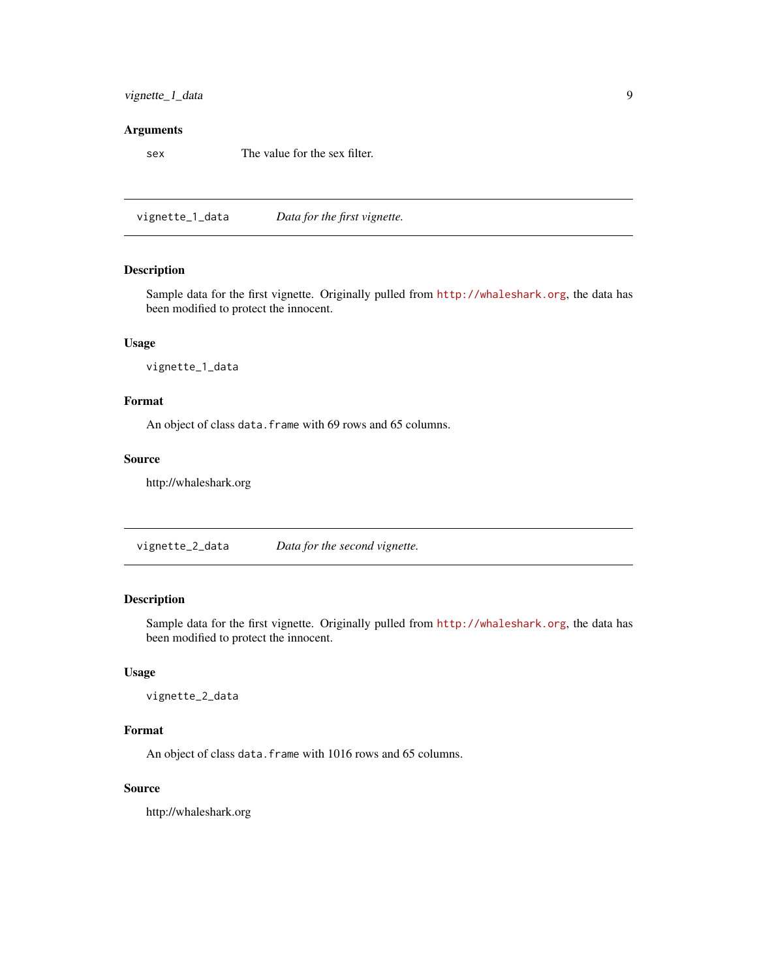# <span id="page-8-0"></span>vignette\_1\_data 9

#### Arguments

sex The value for the sex filter.

vignette\_1\_data *Data for the first vignette.*

#### Description

Sample data for the first vignette. Originally pulled from <http://whaleshark.org>, the data has been modified to protect the innocent.

#### Usage

vignette\_1\_data

# Format

An object of class data. frame with 69 rows and 65 columns.

#### Source

http://whaleshark.org

vignette\_2\_data *Data for the second vignette.*

# Description

Sample data for the first vignette. Originally pulled from <http://whaleshark.org>, the data has been modified to protect the innocent.

# Usage

vignette\_2\_data

# Format

An object of class data. frame with 1016 rows and 65 columns.

#### Source

http://whaleshark.org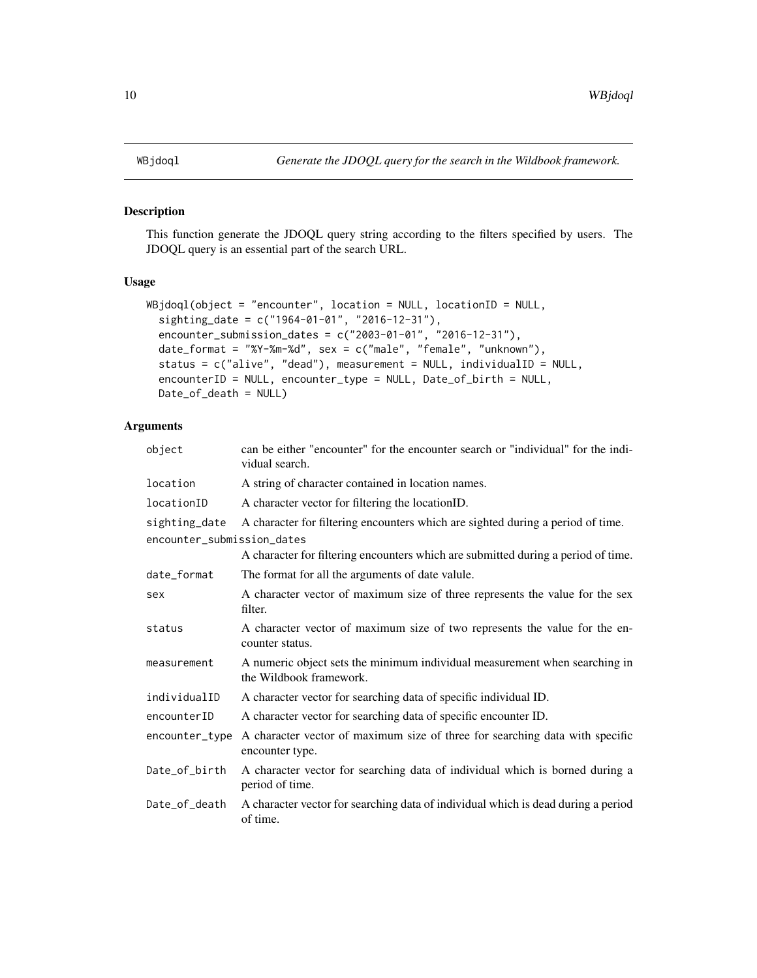#### <span id="page-9-0"></span>Description

This function generate the JDOQL query string according to the filters specified by users. The JDOQL query is an essential part of the search URL.

#### Usage

```
WBjdoql(object = "encounter", location = NULL, locationID = NULL,
  sighting_date = c("1964-01-01", "2016-12-31"),
  encounter_submission_dates = c("2003-01-01", "2016-12-31"),
  date_format = "%Y-%m-%d", sex = c("male", "female", "unknown"),
  status = c("alive", "dead"), measurement = NULL, individualID = NULL,
  encounterID = NULL, encounter_type = NULL, Date_of_birth = NULL,
 Date_of_death = NULL)
```
# Arguments

| object                                      | can be either "encounter" for the encounter search or "individual" for the indi-<br>vidual search.    |
|---------------------------------------------|-------------------------------------------------------------------------------------------------------|
| location                                    | A string of character contained in location names.                                                    |
| locationID                                  | A character vector for filtering the locationID.                                                      |
| sighting_date<br>encounter_submission_dates | A character for filtering encounters which are sighted during a period of time.                       |
|                                             | A character for filtering encounters which are submitted during a period of time.                     |
| date_format                                 | The format for all the arguments of date valule.                                                      |
| sex                                         | A character vector of maximum size of three represents the value for the sex<br>filter.               |
| status                                      | A character vector of maximum size of two represents the value for the en-<br>counter status.         |
| measurement                                 | A numeric object sets the minimum individual measurement when searching in<br>the Wildbook framework. |
| individualID                                | A character vector for searching data of specific individual ID.                                      |
| encounterID                                 | A character vector for searching data of specific encounter ID.                                       |
| encounter_type                              | A character vector of maximum size of three for searching data with specific<br>encounter type.       |
| Date_of_birth                               | A character vector for searching data of individual which is borned during a<br>period of time.       |
| Date_of_death                               | A character vector for searching data of individual which is dead during a period<br>of time.         |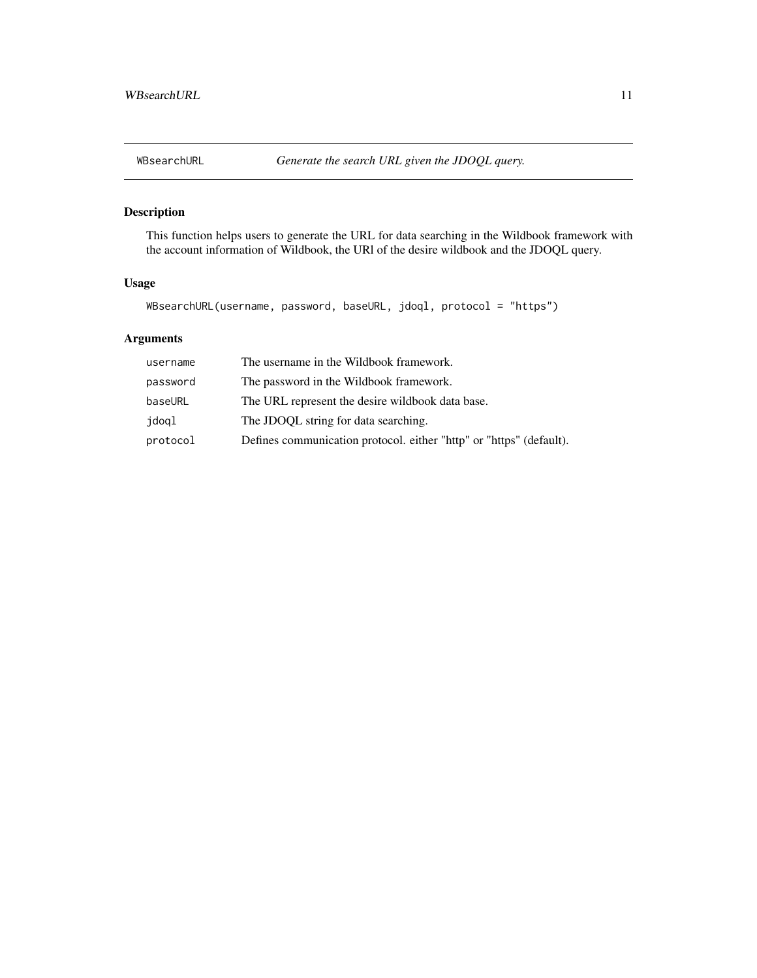<span id="page-10-0"></span>

# Description

This function helps users to generate the URL for data searching in the Wildbook framework with the account information of Wildbook, the URl of the desire wildbook and the JDOQL query.

# Usage

WBsearchURL(username, password, baseURL, jdoql, protocol = "https")

# Arguments

| username | The username in the Wildbook framework.                             |
|----------|---------------------------------------------------------------------|
| password | The password in the Wildbook framework.                             |
| baseURL  | The URL represent the desire wildbook data base.                    |
| jdoql    | The JDOQL string for data searching.                                |
| protocol | Defines communication protocol. either "http" or "https" (default). |